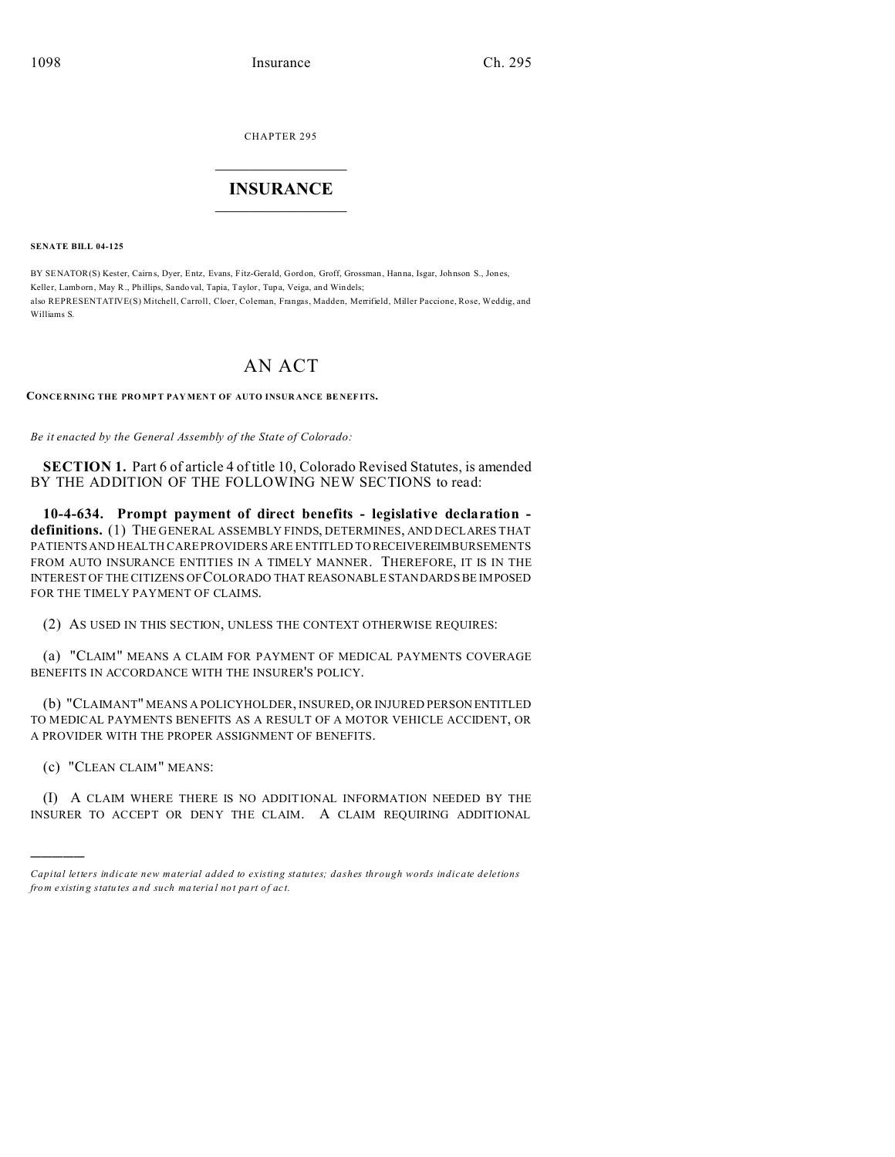CHAPTER 295  $\overline{\phantom{a}}$  , where  $\overline{\phantom{a}}$ 

# **INSURANCE**  $\_$   $\_$   $\_$   $\_$   $\_$   $\_$   $\_$   $\_$

**SENATE BILL 04-125**

BY SENATOR(S) Kester, Cairn s, Dyer, Entz, Evans, Fitz-Gerald, Gordon, Groff, Grossman , Hanna, Isgar, Johnson S., Jon es, Keller, Lamborn, May R., Phillips, Sando val, Tapia, Taylor, Tupa, Veiga, and Windels; also REPRESENTATIVE(S) Mitchell, Carroll, Cloer, Coleman, Frangas, Madden, Merrifield, Miller Paccione, Rose, Weddig, and Williams S.

# AN ACT

#### **CONCE RNING THE PRO MPT PAY MEN T OF AUTO INSUR ANCE BE NEF ITS.**

*Be it enacted by the General Assembly of the State of Colorado:*

**SECTION 1.** Part 6 of article 4 of title 10, Colorado Revised Statutes, is amended BY THE ADDITION OF THE FOLLOWING NEW SECTIONS to read:

**10-4-634. Prompt payment of direct benefits - legislative declaration definitions.** (1) THE GENERAL ASSEMBLY FINDS, DETERMINES, AND DECLARES THAT PATIENTS AND HEALTH CARE PROVIDERS ARE ENTITLED TO RECEIVEREIMBURSEMENTS FROM AUTO INSURANCE ENTITIES IN A TIMELY MANNER. THEREFORE, IT IS IN THE INTEREST OF THE CITIZENS OF COLORADO THAT REASONABLE STANDARDS BE IMPOSED FOR THE TIMELY PAYMENT OF CLAIMS.

(2) AS USED IN THIS SECTION, UNLESS THE CONTEXT OTHERWISE REQUIRES:

(a) "CLAIM" MEANS A CLAIM FOR PAYMENT OF MEDICAL PAYMENTS COVERAGE BENEFITS IN ACCORDANCE WITH THE INSURER'S POLICY.

(b) "CLAIMANT" MEANS A POLICYHOLDER, INSURED, OR INJURED PERSON ENTITLED TO MEDICAL PAYMENTS BENEFITS AS A RESULT OF A MOTOR VEHICLE ACCIDENT, OR A PROVIDER WITH THE PROPER ASSIGNMENT OF BENEFITS.

(c) "CLEAN CLAIM" MEANS:

)))))

(I) A CLAIM WHERE THERE IS NO ADDITIONAL INFORMATION NEEDED BY THE INSURER TO ACCEPT OR DENY THE CLAIM. A CLAIM REQUIRING ADDITIONAL

*Capital letters indicate new material added to existing statutes; dashes through words indicate deletions from e xistin g statu tes a nd such ma teria l no t pa rt of ac t.*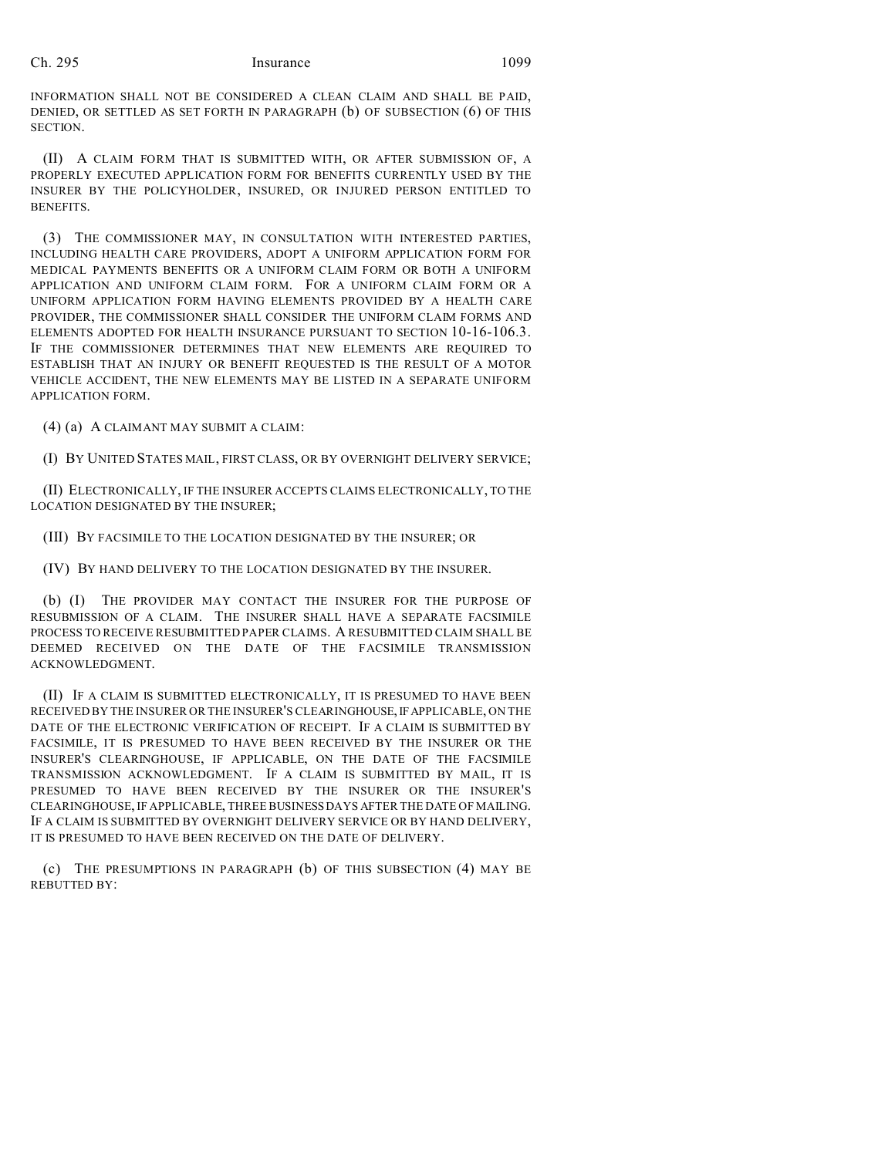# Ch. 295 Insurance 1099

INFORMATION SHALL NOT BE CONSIDERED A CLEAN CLAIM AND SHALL BE PAID, DENIED, OR SETTLED AS SET FORTH IN PARAGRAPH (b) OF SUBSECTION (6) OF THIS SECTION.

(II) A CLAIM FORM THAT IS SUBMITTED WITH, OR AFTER SUBMISSION OF, A PROPERLY EXECUTED APPLICATION FORM FOR BENEFITS CURRENTLY USED BY THE INSURER BY THE POLICYHOLDER, INSURED, OR INJURED PERSON ENTITLED TO BENEFITS.

(3) THE COMMISSIONER MAY, IN CONSULTATION WITH INTERESTED PARTIES, INCLUDING HEALTH CARE PROVIDERS, ADOPT A UNIFORM APPLICATION FORM FOR MEDICAL PAYMENTS BENEFITS OR A UNIFORM CLAIM FORM OR BOTH A UNIFORM APPLICATION AND UNIFORM CLAIM FORM. FOR A UNIFORM CLAIM FORM OR A UNIFORM APPLICATION FORM HAVING ELEMENTS PROVIDED BY A HEALTH CARE PROVIDER, THE COMMISSIONER SHALL CONSIDER THE UNIFORM CLAIM FORMS AND ELEMENTS ADOPTED FOR HEALTH INSURANCE PURSUANT TO SECTION 10-16-106.3. IF THE COMMISSIONER DETERMINES THAT NEW ELEMENTS ARE REQUIRED TO ESTABLISH THAT AN INJURY OR BENEFIT REQUESTED IS THE RESULT OF A MOTOR VEHICLE ACCIDENT, THE NEW ELEMENTS MAY BE LISTED IN A SEPARATE UNIFORM APPLICATION FORM.

(4) (a) A CLAIMANT MAY SUBMIT A CLAIM:

(I) BY UNITED STATES MAIL, FIRST CLASS, OR BY OVERNIGHT DELIVERY SERVICE;

(II) ELECTRONICALLY, IF THE INSURER ACCEPTS CLAIMS ELECTRONICALLY, TO THE LOCATION DESIGNATED BY THE INSURER;

(III) BY FACSIMILE TO THE LOCATION DESIGNATED BY THE INSURER; OR

(IV) BY HAND DELIVERY TO THE LOCATION DESIGNATED BY THE INSURER.

(b) (I) THE PROVIDER MAY CONTACT THE INSURER FOR THE PURPOSE OF RESUBMISSION OF A CLAIM. THE INSURER SHALL HAVE A SEPARATE FACSIMILE PROCESS TO RECEIVE RESUBMITTED PAPER CLAIMS. A RESUBMITTED CLAIM SHALL BE DEEMED RECEIVED ON THE DATE OF THE FACSIMILE TRANSMISSION ACKNOWLEDGMENT.

(II) IF A CLAIM IS SUBMITTED ELECTRONICALLY, IT IS PRESUMED TO HAVE BEEN RECEIVED BY THE INSURER OR THE INSURER'S CLEARINGHOUSE,IFAPPLICABLE, ON THE DATE OF THE ELECTRONIC VERIFICATION OF RECEIPT. IF A CLAIM IS SUBMITTED BY FACSIMILE, IT IS PRESUMED TO HAVE BEEN RECEIVED BY THE INSURER OR THE INSURER'S CLEARINGHOUSE, IF APPLICABLE, ON THE DATE OF THE FACSIMILE TRANSMISSION ACKNOWLEDGMENT. IF A CLAIM IS SUBMITTED BY MAIL, IT IS PRESUMED TO HAVE BEEN RECEIVED BY THE INSURER OR THE INSURER'S CLEARINGHOUSE, IF APPLICABLE, THREE BUSINESSDAYS AFTER THE DATE OF MAILING. IF A CLAIM IS SUBMITTED BY OVERNIGHT DELIVERY SERVICE OR BY HAND DELIVERY, IT IS PRESUMED TO HAVE BEEN RECEIVED ON THE DATE OF DELIVERY.

(c) THE PRESUMPTIONS IN PARAGRAPH (b) OF THIS SUBSECTION (4) MAY BE REBUTTED BY: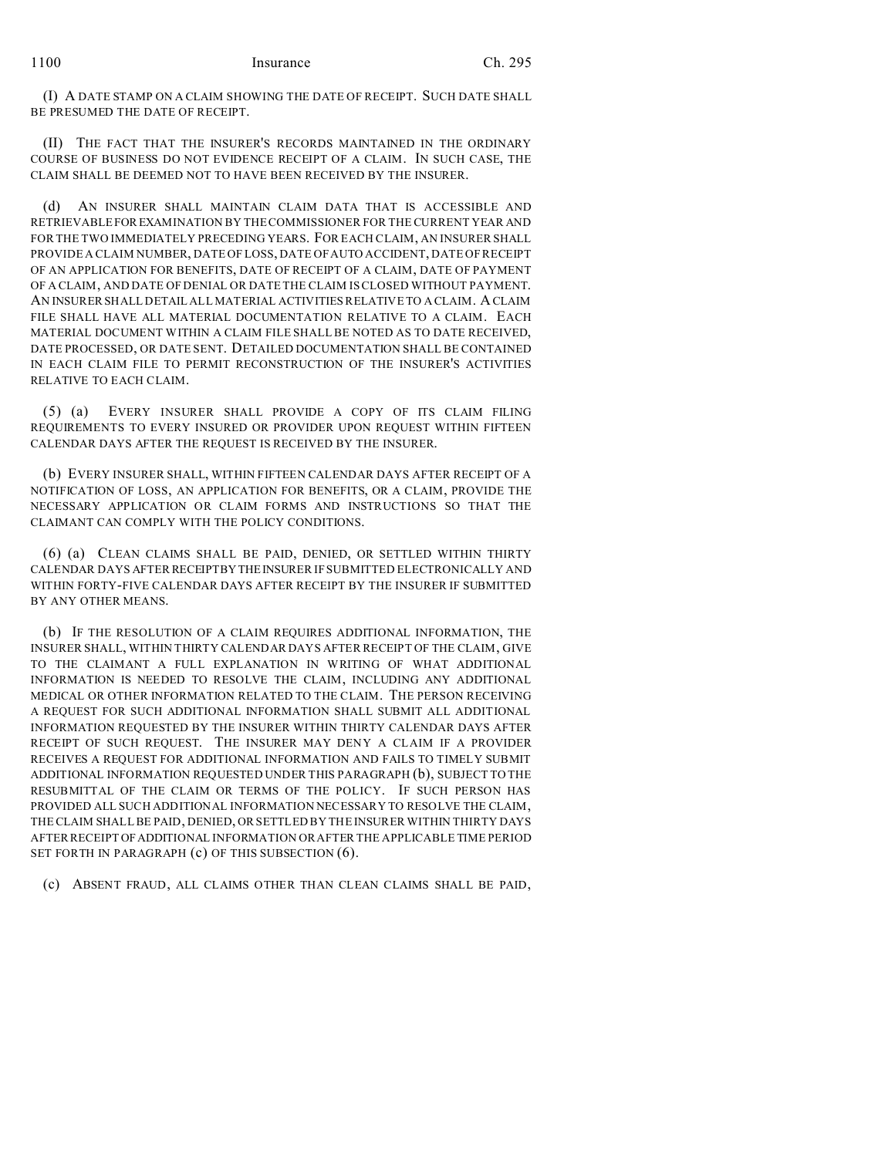(I) A DATE STAMP ON A CLAIM SHOWING THE DATE OF RECEIPT. SUCH DATE SHALL BE PRESUMED THE DATE OF RECEIPT.

(II) THE FACT THAT THE INSURER'S RECORDS MAINTAINED IN THE ORDINARY COURSE OF BUSINESS DO NOT EVIDENCE RECEIPT OF A CLAIM. IN SUCH CASE, THE CLAIM SHALL BE DEEMED NOT TO HAVE BEEN RECEIVED BY THE INSURER.

(d) AN INSURER SHALL MAINTAIN CLAIM DATA THAT IS ACCESSIBLE AND RETRIEVABLE FOREXAMINATION BY THE COMMISSIONER FOR THE CURRENT YEAR AND FOR THE TWO IMMEDIATELY PRECEDING YEARS. FOR EACH CLAIM, AN INSURER SHALL PROVIDE A CLAIM NUMBER, DATE OF LOSS, DATE OF AUTO ACCIDENT, DATE OF RECEIPT OF AN APPLICATION FOR BENEFITS, DATE OF RECEIPT OF A CLAIM, DATE OF PAYMENT OF A CLAIM, AND DATE OF DENIAL OR DATE THE CLAIM IS CLOSED WITHOUT PAYMENT. AN INSURER SHALL DETAIL ALL MATERIAL ACTIVITIES RELATIVE TO A CLAIM. A CLAIM FILE SHALL HAVE ALL MATERIAL DOCUMENTATION RELATIVE TO A CLAIM. EACH MATERIAL DOCUMENT WITHIN A CLAIM FILE SHALL BE NOTED AS TO DATE RECEIVED, DATE PROCESSED, OR DATE SENT. DETAILED DOCUMENTATION SHALL BE CONTAINED IN EACH CLAIM FILE TO PERMIT RECONSTRUCTION OF THE INSURER'S ACTIVITIES RELATIVE TO EACH CLAIM.

(5) (a) EVERY INSURER SHALL PROVIDE A COPY OF ITS CLAIM FILING REQUIREMENTS TO EVERY INSURED OR PROVIDER UPON REQUEST WITHIN FIFTEEN CALENDAR DAYS AFTER THE REQUEST IS RECEIVED BY THE INSURER.

(b) EVERY INSURER SHALL, WITHIN FIFTEEN CALENDAR DAYS AFTER RECEIPT OF A NOTIFICATION OF LOSS, AN APPLICATION FOR BENEFITS, OR A CLAIM, PROVIDE THE NECESSARY APPLICATION OR CLAIM FORMS AND INSTRUCTIONS SO THAT THE CLAIMANT CAN COMPLY WITH THE POLICY CONDITIONS.

(6) (a) CLEAN CLAIMS SHALL BE PAID, DENIED, OR SETTLED WITHIN THIRTY CALENDAR DAYS AFTER RECEIPTBY THEINSURER IF SUBMITTED ELECTRONICALLY AND WITHIN FORTY-FIVE CALENDAR DAYS AFTER RECEIPT BY THE INSURER IF SUBMITTED BY ANY OTHER MEANS.

(b) IF THE RESOLUTION OF A CLAIM REQUIRES ADDITIONAL INFORMATION, THE INSURER SHALL, WITHIN THIRTY CALENDAR DAYS AFTER RECEIPT OF THE CLAIM, GIVE TO THE CLAIMANT A FULL EXPLANATION IN WRITING OF WHAT ADDITIONAL INFORMATION IS NEEDED TO RESOLVE THE CLAIM, INCLUDING ANY ADDITIONAL MEDICAL OR OTHER INFORMATION RELATED TO THE CLAIM. THE PERSON RECEIVING A REQUEST FOR SUCH ADDITIONAL INFORMATION SHALL SUBMIT ALL ADDITIONAL INFORMATION REQUESTED BY THE INSURER WITHIN THIRTY CALENDAR DAYS AFTER RECEIPT OF SUCH REQUEST. THE INSURER MAY DENY A CLAIM IF A PROVIDER RECEIVES A REQUEST FOR ADDITIONAL INFORMATION AND FAILS TO TIMELY SUBMIT ADDITIONAL INFORMATION REQUESTED UNDER THIS PARAGRAPH (b), SUBJECT TO THE RESUBMITTAL OF THE CLAIM OR TERMS OF THE POLICY. IF SUCH PERSON HAS PROVIDED ALL SUCH ADDITIONAL INFORMATION NECESSARY TO RESOLVE THE CLAIM, THE CLAIM SHALL BE PAID, DENIED, OR SETTLED BY THE INSURER WITHIN THIRTY DAYS AFTER RECEIPT OFADDITIONAL INFORMATION OR AFTER THE APPLICABLE TIME PERIOD SET FORTH IN PARAGRAPH (c) OF THIS SUBSECTION (6).

(c) ABSENT FRAUD, ALL CLAIMS OTHER THAN CLEAN CLAIMS SHALL BE PAID,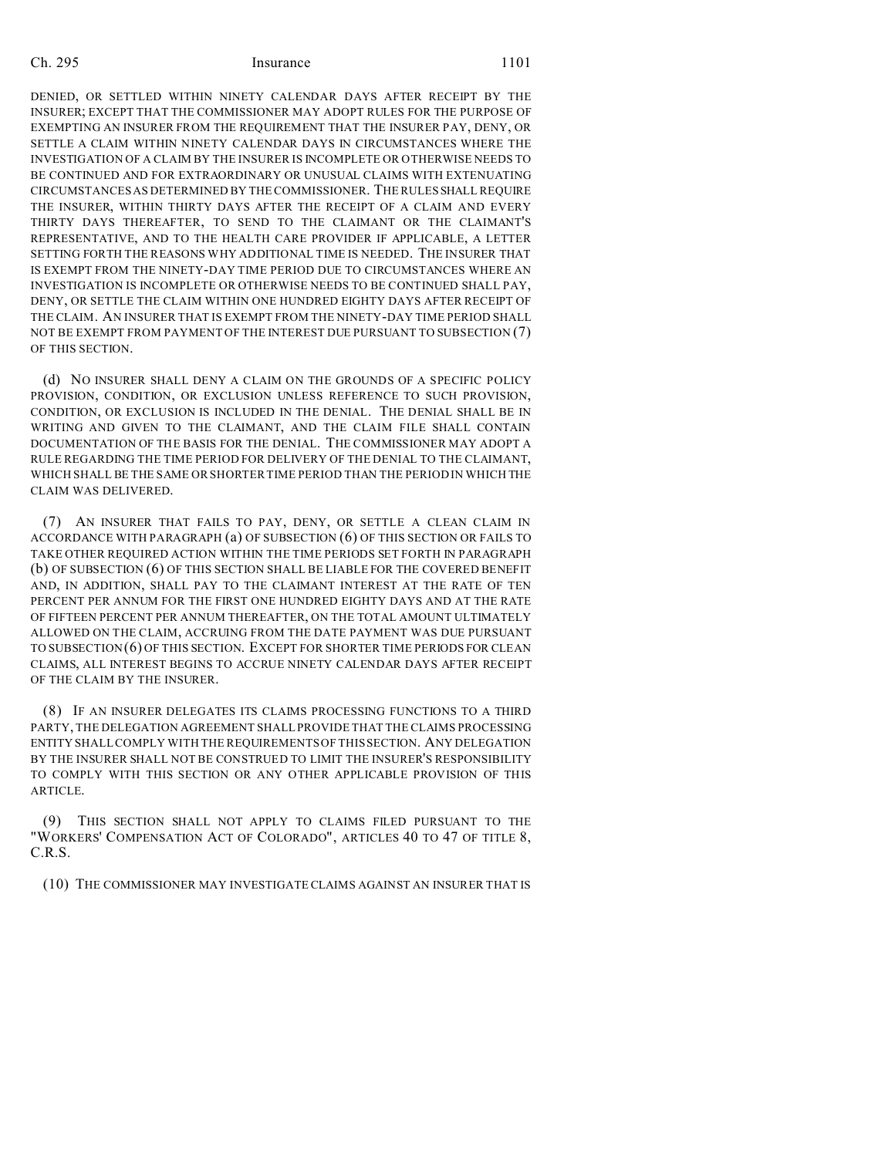### Ch. 295 Insurance 1101

DENIED, OR SETTLED WITHIN NINETY CALENDAR DAYS AFTER RECEIPT BY THE INSURER; EXCEPT THAT THE COMMISSIONER MAY ADOPT RULES FOR THE PURPOSE OF EXEMPTING AN INSURER FROM THE REQUIREMENT THAT THE INSURER PAY, DENY, OR SETTLE A CLAIM WITHIN NINETY CALENDAR DAYS IN CIRCUMSTANCES WHERE THE INVESTIGATION OF A CLAIM BY THE INSURER IS INCOMPLETE OR OTHERWISE NEEDS TO BE CONTINUED AND FOR EXTRAORDINARY OR UNUSUAL CLAIMS WITH EXTENUATING CIRCUMSTANCES AS DETERMINED BY THE COMMISSIONER. THE RULES SHALL REQUIRE THE INSURER, WITHIN THIRTY DAYS AFTER THE RECEIPT OF A CLAIM AND EVERY THIRTY DAYS THEREAFTER, TO SEND TO THE CLAIMANT OR THE CLAIMANT'S REPRESENTATIVE, AND TO THE HEALTH CARE PROVIDER IF APPLICABLE, A LETTER SETTING FORTH THE REASONS WHY ADDITIONAL TIME IS NEEDED. THE INSURER THAT IS EXEMPT FROM THE NINETY-DAY TIME PERIOD DUE TO CIRCUMSTANCES WHERE AN INVESTIGATION IS INCOMPLETE OR OTHERWISE NEEDS TO BE CONTINUED SHALL PAY, DENY, OR SETTLE THE CLAIM WITHIN ONE HUNDRED EIGHTY DAYS AFTER RECEIPT OF THE CLAIM. AN INSURER THAT IS EXEMPT FROM THE NINETY-DAY TIME PERIOD SHALL NOT BE EXEMPT FROM PAYMENT OF THE INTEREST DUE PURSUANT TO SUBSECTION (7) OF THIS SECTION.

(d) NO INSURER SHALL DENY A CLAIM ON THE GROUNDS OF A SPECIFIC POLICY PROVISION, CONDITION, OR EXCLUSION UNLESS REFERENCE TO SUCH PROVISION, CONDITION, OR EXCLUSION IS INCLUDED IN THE DENIAL. THE DENIAL SHALL BE IN WRITING AND GIVEN TO THE CLAIMANT, AND THE CLAIM FILE SHALL CONTAIN DOCUMENTATION OF THE BASIS FOR THE DENIAL. THE COMMISSIONER MAY ADOPT A RULE REGARDING THE TIME PERIOD FOR DELIVERY OF THE DENIAL TO THE CLAIMANT, WHICH SHALL BE THE SAME OR SHORTER TIME PERIOD THAN THE PERIOD IN WHICH THE CLAIM WAS DELIVERED.

(7) AN INSURER THAT FAILS TO PAY, DENY, OR SETTLE A CLEAN CLAIM IN ACCORDANCE WITH PARAGRAPH (a) OF SUBSECTION (6) OF THIS SECTION OR FAILS TO TAKE OTHER REQUIRED ACTION WITHIN THE TIME PERIODS SET FORTH IN PARAGRAPH (b) OF SUBSECTION (6) OF THIS SECTION SHALL BE LIABLE FOR THE COVERED BENEFIT AND, IN ADDITION, SHALL PAY TO THE CLAIMANT INTEREST AT THE RATE OF TEN PERCENT PER ANNUM FOR THE FIRST ONE HUNDRED EIGHTY DAYS AND AT THE RATE OF FIFTEEN PERCENT PER ANNUM THEREAFTER, ON THE TOTAL AMOUNT ULTIMATELY ALLOWED ON THE CLAIM, ACCRUING FROM THE DATE PAYMENT WAS DUE PURSUANT TO SUBSECTION (6) OF THIS SECTION. EXCEPT FOR SHORTER TIME PERIODS FOR CLEAN CLAIMS, ALL INTEREST BEGINS TO ACCRUE NINETY CALENDAR DAYS AFTER RECEIPT OF THE CLAIM BY THE INSURER.

(8) IF AN INSURER DELEGATES ITS CLAIMS PROCESSING FUNCTIONS TO A THIRD PARTY, THE DELEGATION AGREEMENT SHALL PROVIDE THAT THE CLAIMS PROCESSING ENTITY SHALL COMPLY WITH THE REQUIREMENTS OF THIS SECTION. ANY DELEGATION BY THE INSURER SHALL NOT BE CONSTRUED TO LIMIT THE INSURER'S RESPONSIBILITY TO COMPLY WITH THIS SECTION OR ANY OTHER APPLICABLE PROVISION OF THIS ARTICLE.

(9) THIS SECTION SHALL NOT APPLY TO CLAIMS FILED PURSUANT TO THE "WORKERS' COMPENSATION ACT OF COLORADO", ARTICLES 40 TO 47 OF TITLE 8, C.R.S.

(10) THE COMMISSIONER MAY INVESTIGATE CLAIMS AGAINST AN INSURER THAT IS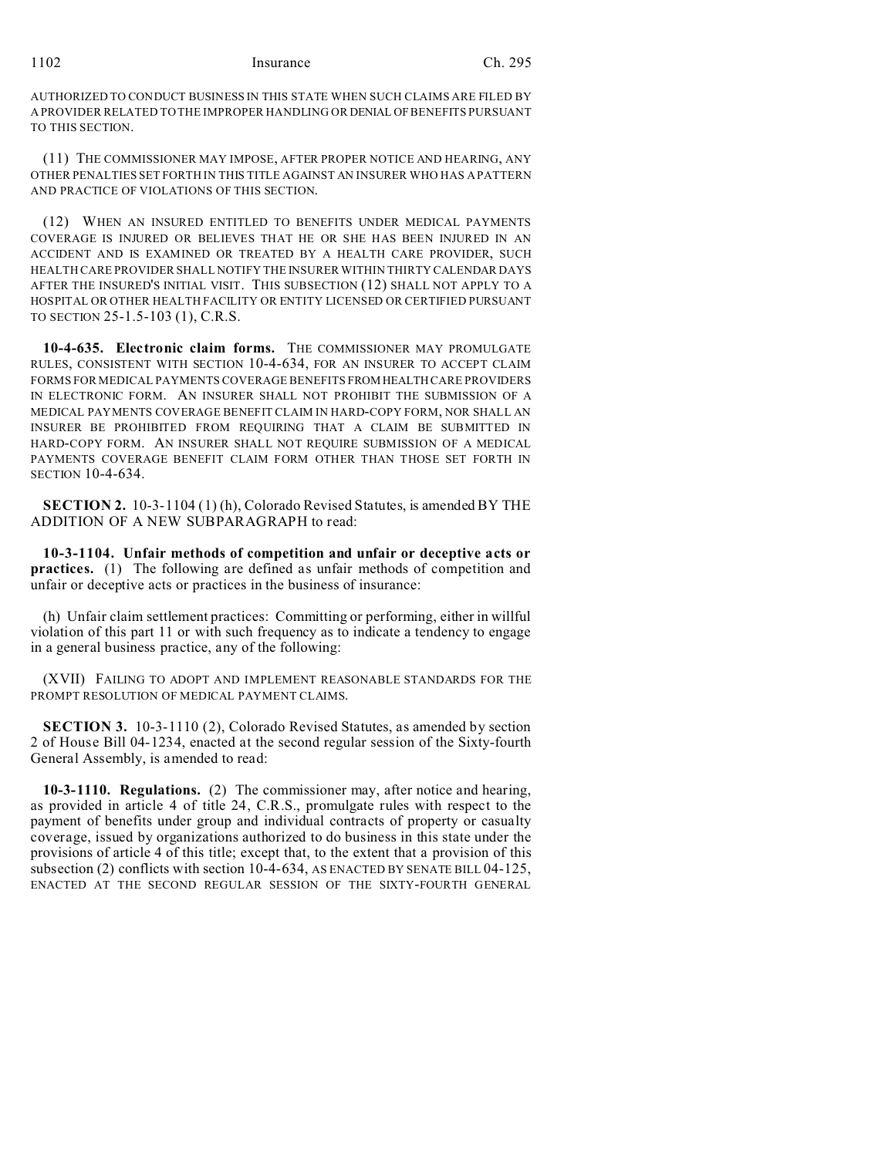## 1102 Insurance Ch. 295

AUTHORIZED TO CONDUCT BUSINESS IN THIS STATE WHEN SUCH CLAIMS ARE FILED BY A PROVIDER RELATED TO THE IMPROPER HANDLING OR DENIAL OF BENEFITS PURSUANT TO THIS SECTION.

(11) THE COMMISSIONER MAY IMPOSE, AFTER PROPER NOTICE AND HEARING, ANY OTHER PENALTIES SET FORTH IN THIS TITLE AGAINST AN INSURER WHO HAS A PATTERN AND PRACTICE OF VIOLATIONS OF THIS SECTION.

(12) WHEN AN INSURED ENTITLED TO BENEFITS UNDER MEDICAL PAYMENTS COVERAGE IS INJURED OR BELIEVES THAT HE OR SHE HAS BEEN INJURED IN AN ACCIDENT AND IS EXAMINED OR TREATED BY A HEALTH CARE PROVIDER, SUCH HEALTH CARE PROVIDER SHALL NOTIFY THE INSURER WITHIN THIRTY CALENDAR DAYS AFTER THE INSURED'S INITIAL VISIT. THIS SUBSECTION (12) SHALL NOT APPLY TO A HOSPITAL OR OTHER HEALTH FACILITY OR ENTITY LICENSED OR CERTIFIED PURSUANT TO SECTION 25-1.5-103 (1), C.R.S.

**10-4-635. Electronic claim forms.** THE COMMISSIONER MAY PROMULGATE RULES, CONSISTENT WITH SECTION 10-4-634, FOR AN INSURER TO ACCEPT CLAIM FORMS FOR MEDICAL PAYMENTS COVERAGE BENEFITS FROM HEALTH CARE PROVIDERS IN ELECTRONIC FORM. AN INSURER SHALL NOT PROHIBIT THE SUBMISSION OF A MEDICAL PAYMENTS COVERAGE BENEFIT CLAIM IN HARD-COPY FORM, NOR SHALL AN INSURER BE PROHIBITED FROM REQUIRING THAT A CLAIM BE SUBMITTED IN HARD-COPY FORM. AN INSURER SHALL NOT REQUIRE SUBMISSION OF A MEDICAL PAYMENTS COVERAGE BENEFIT CLAIM FORM OTHER THAN THOSE SET FORTH IN SECTION 10-4-634.

**SECTION 2.** 10-3-1104 (1) (h), Colorado Revised Statutes, is amended BY THE ADDITION OF A NEW SUBPARAGRAPH to read:

**10-3-1104. Unfair methods of competition and unfair or deceptive acts or practices.** (1) The following are defined as unfair methods of competition and unfair or deceptive acts or practices in the business of insurance:

(h) Unfair claim settlement practices: Committing or performing, either in willful violation of this part 11 or with such frequency as to indicate a tendency to engage in a general business practice, any of the following:

(XVII) FAILING TO ADOPT AND IMPLEMENT REASONABLE STANDARDS FOR THE PROMPT RESOLUTION OF MEDICAL PAYMENT CLAIMS.

**SECTION 3.** 10-3-1110 (2), Colorado Revised Statutes, as amended by section 2 of House Bill 04-1234, enacted at the second regular session of the Sixty-fourth General Assembly, is amended to read:

**10-3-1110. Regulations.** (2) The commissioner may, after notice and hearing, as provided in article 4 of title 24, C.R.S., promulgate rules with respect to the payment of benefits under group and individual contracts of property or casualty coverage, issued by organizations authorized to do business in this state under the provisions of article 4 of this title; except that, to the extent that a provision of this subsection (2) conflicts with section 10-4-634, AS ENACTED BY SENATE BILL 04-125, ENACTED AT THE SECOND REGULAR SESSION OF THE SIXTY-FOURTH GENERAL